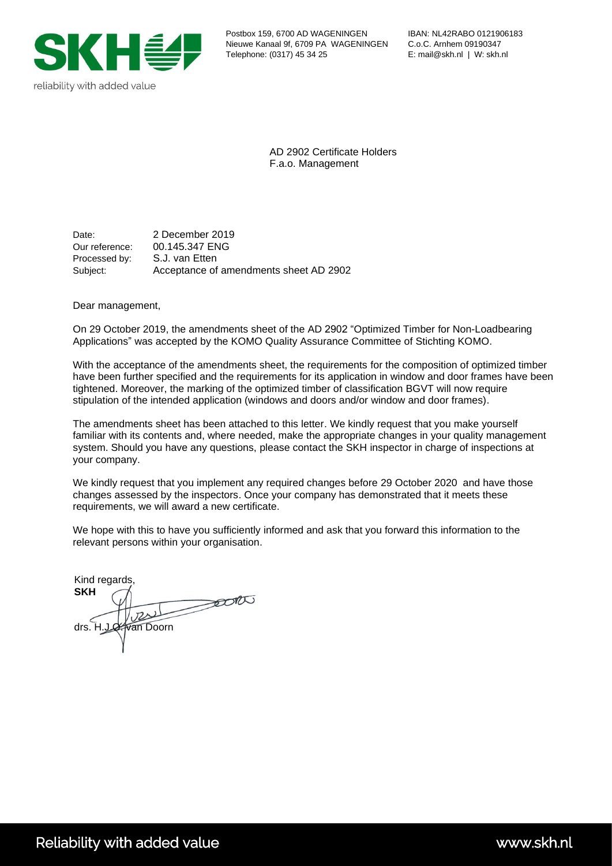

AD 2902 Certificate Holders F.a.o. Management

Date: 2 December 2019 Our reference: 00.145.347 ENG Processed by: S.J. van Etten Subject: Acceptance of amendments sheet AD 2902

Dear management,

On 29 October 2019, the amendments sheet of the AD 2902 "Optimized Timber for Non-Loadbearing Applications" was accepted by the KOMO Quality Assurance Committee of Stichting KOMO.

With the acceptance of the amendments sheet, the requirements for the composition of optimized timber have been further specified and the requirements for its application in window and door frames have been tightened. Moreover, the marking of the optimized timber of classification BGVT will now require stipulation of the intended application (windows and doors and/or window and door frames).

The amendments sheet has been attached to this letter. We kindly request that you make yourself familiar with its contents and, where needed, make the appropriate changes in your quality management system. Should you have any questions, please contact the SKH inspector in charge of inspections at your company.

We kindly request that you implement any required changes before 29 October 2020 and have those changes assessed by the inspectors. Once your company has demonstrated that it meets these requirements, we will award a new certificate.

We hope with this to have you sufficiently informed and ask that you forward this information to the relevant persons within your organisation.

Kind regards, **SKH**  $\rightarrow 000$  $U$ drs. H.J.O. wan Doorn

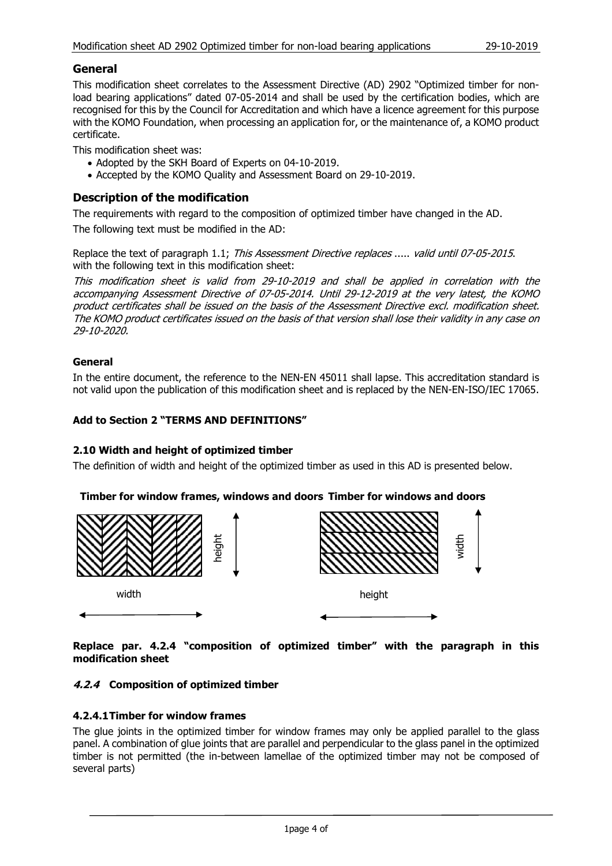## **General**

This modification sheet correlates to the Assessment Directive (AD) 2902 "Optimized timber for nonload bearing applications" dated 07-05-2014 and shall be used by the certification bodies, which are recognised for this by the Council for Accreditation and which have a licence agreement for this purpose with the KOMO Foundation, when processing an application for, or the maintenance of, a KOMO product certificate.

This modification sheet was:

- Adopted by the SKH Board of Experts on 04-10-2019.
- Accepted by the KOMO Quality and Assessment Board on 29-10-2019.

## **Description of the modification**

The requirements with regard to the composition of optimized timber have changed in the AD. The following text must be modified in the AD:

Replace the text of paragraph 1.1; This Assessment Directive replaces ..... valid until 07-05-2015. with the following text in this modification sheet:

This modification sheet is valid from 29-10-2019 and shall be applied in correlation with the accompanying Assessment Directive of 07-05-2014. Until 29-12-2019 at the very latest, the KOMO product certificates shall be issued on the basis of the Assessment Directive excl. modification sheet. The KOMO product certificates issued on the basis of that version shall lose their validity in any case on 29-10-2020.

#### **General**

In the entire document, the reference to the NEN-EN 45011 shall lapse. This accreditation standard is not valid upon the publication of this modification sheet and is replaced by the NEN-EN-ISO/IEC 17065.

#### **Add to Section 2 "TERMS AND DEFINITIONS"**

#### **2.10 Width and height of optimized timber**

The definition of width and height of the optimized timber as used in this AD is presented below.

#### **Timber for window frames, windows and doors Timber for windows and doors**



**Replace par. 4.2.4 "composition of optimized timber" with the paragraph in this modification sheet**

#### **4.2.4 Composition of optimized timber**

#### **4.2.4.1Timber for window frames**

The glue joints in the optimized timber for window frames may only be applied parallel to the glass panel. A combination of glue joints that are parallel and perpendicular to the glass panel in the optimized timber is not permitted (the in-between lamellae of the optimized timber may not be composed of several parts)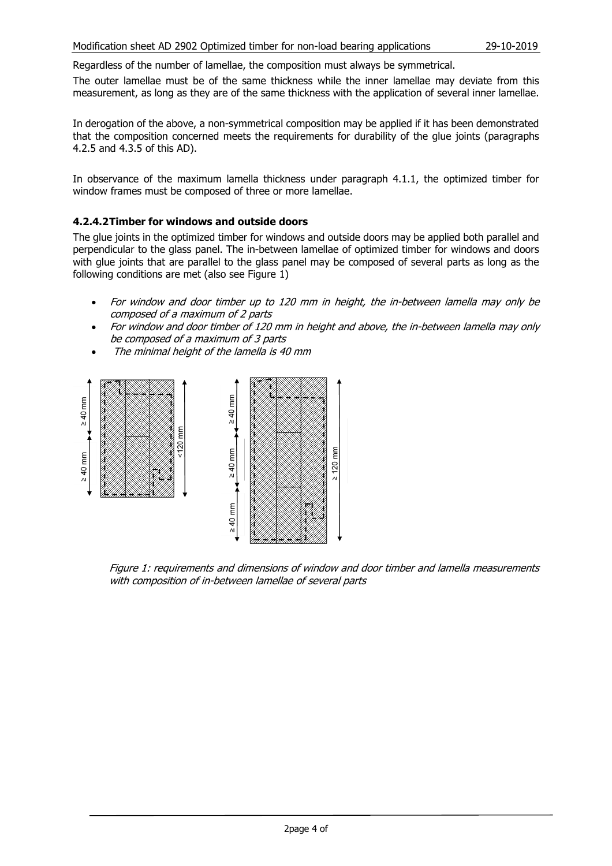Regardless of the number of lamellae, the composition must always be symmetrical.

The outer lamellae must be of the same thickness while the inner lamellae may deviate from this measurement, as long as they are of the same thickness with the application of several inner lamellae.

In derogation of the above, a non-symmetrical composition may be applied if it has been demonstrated that the composition concerned meets the requirements for durability of the glue joints (paragraphs 4.2.5 and 4.3.5 of this AD).

In observance of the maximum lamella thickness under paragraph 4.1.1, the optimized timber for window frames must be composed of three or more lamellae.

#### **4.2.4.2Timber for windows and outside doors**

The glue joints in the optimized timber for windows and outside doors may be applied both parallel and perpendicular to the glass panel. The in-between lamellae of optimized timber for windows and doors with glue joints that are parallel to the glass panel may be composed of several parts as long as the following conditions are met (also see Figure 1)

- For window and door timber up to 120 mm in height, the in-between lamella may only be composed of <sup>a</sup> maximum of 2 parts
- For window and door timber of 120 mm in height and above, the in-between lamella may only be composed of <sup>a</sup> maximum of 3 parts
- The minimal height of the lamella is 40 mm



Figure 1: requirements and dimensions of window and door timber and lamella measurements with composition of in-between lamellae of several parts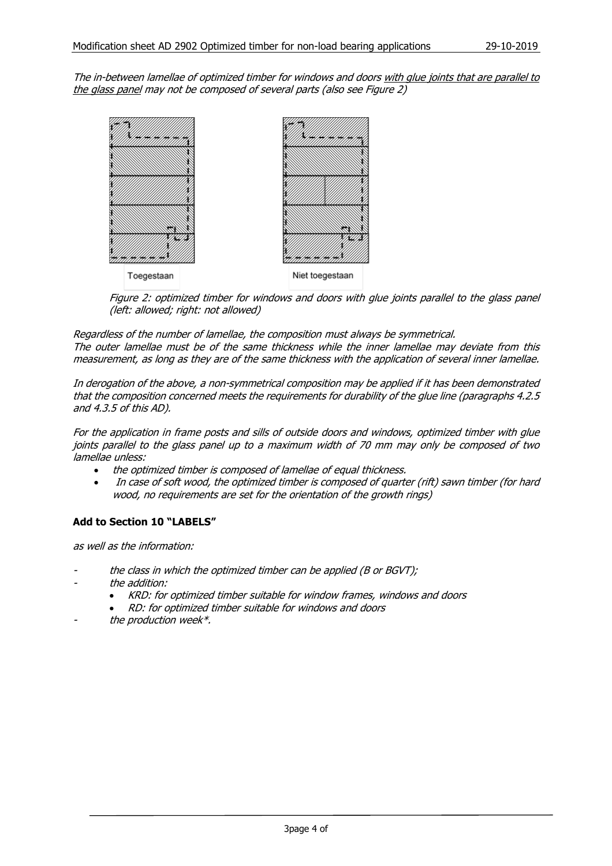The in-between lamellae of optimized timber for windows and doors with glue joints that are parallel to the glass panel may not be composed of several parts (also see Figure 2)



Figure 2: optimized timber for windows and doors with glue joints parallel to the glass panel (left: allowed; right: not allowed)

Regardless of the number of lamellae, the composition must always be symmetrical. The outer lamellae must be of the same thickness while the inner lamellae may deviate from this measurement, as long as they are of the same thickness with the application of several inner lamellae.

In derogation of the above, <sup>a</sup> non-symmetrical composition may be applied if it has been demonstrated that the composition concerned meets the requirements for durability of the glue line (paragraphs 4.2.5 and 4.3.5 of this AD).

For the application in frame posts and sills of outside doors and windows, optimized timber with glue joints parallel to the glass panel up to <sup>a</sup> maximum width of 70 mm may only be composed of two lamellae unless:

- the optimized timber is composed of lamellae of equal thickness.
- In case of soft wood, the optimized timber is composed of quarter (rift) sawn timber (for hard wood, no requirements are set for the orientation of the growth rings)

### **Add to Section 10 "LABELS"**

as well as the information:

- the class in which the optimized timber can be applied (B or BGVT);
- the addition:
	- KRD: for optimized timber suitable for window frames, windows and doors
	- RD: for optimized timber suitable for windows and doors
- the production week\*.